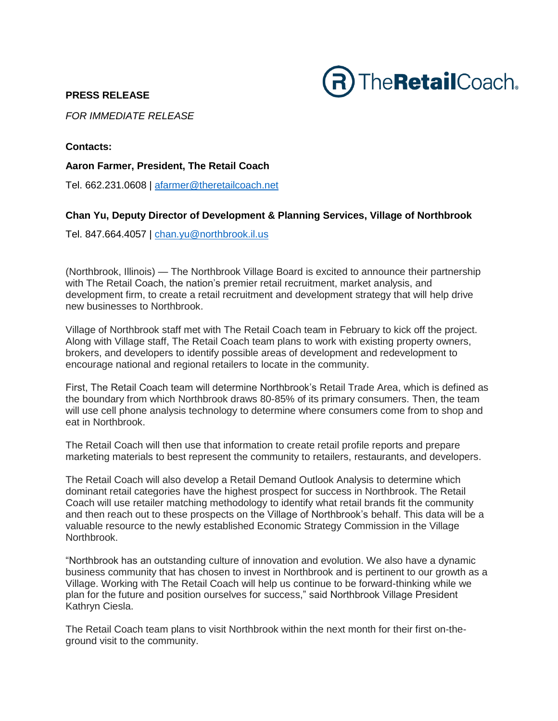

# **PRESS RELEASE**

## *FOR IMMEDIATE RELEASE*

#### **Contacts:**

#### **Aaron Farmer, President, The Retail Coach**

Tel. 662.231.0608 | [afarmer@theretailcoach.net](mailto:afarmer@theretailcoach.net)

#### **Chan Yu, Deputy Director of Development & Planning Services, Village of Northbrook**

Tel. 847.664.4057 | chan.yu@northbrook.il.us

(Northbrook, Illinois) — The Northbrook Village Board is excited to announce their partnership with The Retail Coach, the nation's premier retail recruitment, market analysis, and development firm, to create a retail recruitment and development strategy that will help drive new businesses to Northbrook.

Village of Northbrook staff met with The Retail Coach team in February to kick off the project. Along with Village staff, The Retail Coach team plans to work with existing property owners, brokers, and developers to identify possible areas of development and redevelopment to encourage national and regional retailers to locate in the community.

First, The Retail Coach team will determine Northbrook's Retail Trade Area, which is defined as the boundary from which Northbrook draws 80-85% of its primary consumers. Then, the team will use cell phone analysis technology to determine where consumers come from to shop and eat in Northbrook.

The Retail Coach will then use that information to create retail profile reports and prepare marketing materials to best represent the community to retailers, restaurants, and developers.

The Retail Coach will also develop a Retail Demand Outlook Analysis to determine which dominant retail categories have the highest prospect for success in Northbrook. The Retail Coach will use retailer matching methodology to identify what retail brands fit the community and then reach out to these prospects on the Village of Northbrook's behalf. This data will be a valuable resource to the newly established Economic Strategy Commission in the Village Northbrook.

"Northbrook has an outstanding culture of innovation and evolution. We also have a dynamic business community that has chosen to invest in Northbrook and is pertinent to our growth as a Village. Working with The Retail Coach will help us continue to be forward-thinking while we plan for the future and position ourselves for success," said Northbrook Village President Kathryn Ciesla.

The Retail Coach team plans to visit Northbrook within the next month for their first on-theground visit to the community.